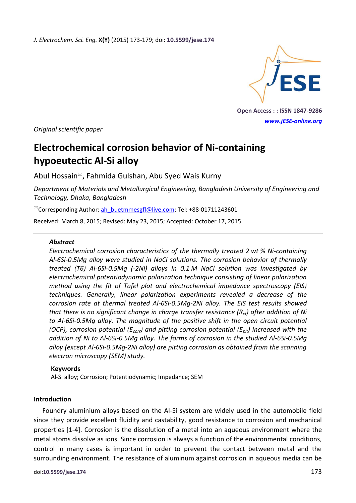*J. Electrochem. Sci. Eng.* **X(Y)** (2015) 173-179; doi: **10.5599/jese.174**



**Open Access : : ISSN 1847-9286** *[www.jESE-online.org](http://www.jese-online.org/)*

*Original scientific paper*

# **Electrochemical corrosion behavior of Ni-containing hypoeutectic Al-Si alloy**

Abul Hossain<sup>⊠</sup>, Fahmida Gulshan, Abu Syed Wais Kurny

*Department of Materials and Metallurgical Engineering, Bangladesh University of Engineering and Technology, Dhaka, Bangladesh*

<sup>⊠</sup>Corresponding Author: [ah\\_buetmmesgfl@live.com;](mailto:ah_buetmmesgfl@live.com) Tel: +88-01711243601

Received: March 8, 2015; Revised: May 23, 2015; Accepted: October 17, 2015

## *Abstract*

*Electrochemical corrosion characteristics of the thermally treated 2 wt % Ni-containing Al-6Si-0.5Mg alloy were studied in NaCl solutions. The corrosion behavior of thermally treated (T6) Al-6Si-0.5Mg (-2Ni) alloys in 0.1 M NaCl solution was investigated by electrochemical potentiodynamic polarization technique consisting of linear polarization method using the fit of Tafel plot and electrochemical impedance spectroscopy (EIS) techniques. Generally, linear polarization experiments revealed a decrease of the corrosion rate at thermal treated Al-6Si-0.5Mg-2Ni alloy. The EIS test results showed that there is no significant change in charge transfer resistance (Rct) after addition of Ni to Al-6Si-0.5Mg alloy. The magnitude of the positive shift in the open circuit potential (OCP), corrosion potential (Ecorr) and pitting corrosion potential (Epit) increased with the addition of Ni to Al-6Si-0.5Mg alloy. The forms of corrosion in the studied Al-6Si-0.5Mg alloy (except Al-6Si-0.5Mg-2Ni alloy) are pitting corrosion as obtained from the scanning electron microscopy (SEM) study.*

## **Keywords**

Al-Si alloy; Corrosion; Potentiodynamic; Impedance; SEM

#### **Introduction**

Foundry aluminium alloys based on the Al-Si system are widely used in the automobile field since they provide excellent fluidity and castability, good resistance to corrosion and mechanical properties [1-4]. Corrosion is the dissolution of a metal into an aqueous environment where the metal atoms dissolve as ions. Since corrosion is always a function of the environmental conditions, control in many cases is important in order to prevent the contact between metal and the surrounding environment. The resistance of aluminum against corrosion in aqueous media can be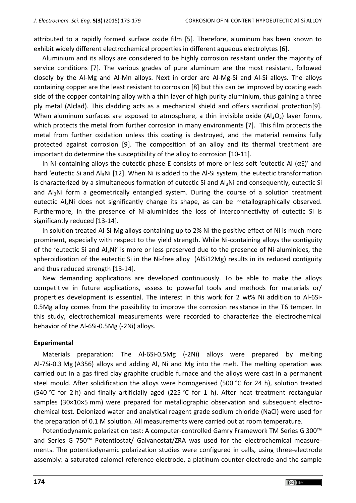attributed to a rapidly formed surface oxide film [5]. Therefore, aluminum has been known to exhibit widely different electrochemical properties in different aqueous electrolytes [6].

Aluminium and its alloys are considered to be highly corrosion resistant under the majority of service conditions [7]. The various grades of pure aluminum are the most resistant, followed closely by the Al-Mg and Al-Mn alloys. Next in order are Al-Mg-Si and Al-Si alloys. The alloys containing copper are the least resistant to corrosion [8] but this can be improved by coating each side of the copper containing alloy with a thin layer of high purity aluminium, thus gaining a three ply metal (Alclad). This cladding acts as a mechanical shield and offers sacrificial protection[9]. When aluminum surfaces are exposed to atmosphere, a thin invisible oxide  $(A<sub>1</sub>,O<sub>3</sub>)$  layer forms, which protects the metal from further corrosion in many environments [7]. This film protects the metal from further oxidation unless this coating is destroyed, and the material remains fully protected against corrosion [9]. The composition of an alloy and its thermal treatment are important do determine the susceptibility of the alloy to corrosion [10-11].

In Ni-containing alloys the eutectic phase E consists of more or less soft 'eutectic Al ( $\alpha E$ )' and hard 'eutectic Si and Al3Ni [12]. When Ni is added to the Al-Si system, the eutectic transformation is characterized by a simultaneous formation of eutectic Si and  $A<sub>3</sub>Ni$  and consequently, eutectic Si and Al<sub>3</sub>Ni form a geometrically entangled system. During the course of a solution treatment eutectic Al3Ni does not significantly change its shape, as can be metallographically observed. Furthermore, in the presence of Ni-aluminides the loss of interconnectivity of eutectic Si is significantly reduced [13-14].

In solution treated Al-Si-Mg alloys containing up to 2% Ni the positive effect of Ni is much more prominent, especially with respect to the yield strength. While Ni-containing alloys the contiguity of the 'eutectic Si and  $Al_3Ni'$  is more or less preserved due to the presence of Ni-aluminides, the spheroidization of the eutectic Si in the Ni-free alloy (AlSi12Mg) results in its reduced contiguity and thus reduced strength [13-14].

New demanding applications are developed continuously. To be able to make the alloys competitive in future applications, assess to powerful tools and methods for materials or/ properties development is essential. The interest in this work for 2 wt% Ni addition to Al-6Si-0.5Mg alloy comes from the possibility to improve the corrosion resistance in the T6 temper. In this study, electrochemical measurements were recorded to characterize the electrochemical behavior of the Al-6Si-0.5Mg (-2Ni) alloys.

#### **Experimental**

Materials preparation: The Al-6Si-0.5Mg (-2Ni) alloys were prepared by melting Al-7Si-0.3 Mg (A356) alloys and adding Al, Ni and Mg into the melt. The melting operation was carried out in a gas fired clay graphite crucible furnace and the alloys were cast in a permanent steel mould. After solidification the alloys were homogenised (500 °C for 24 h), solution treated (540 °C for 2 h) and finally artificially aged (225 °C for 1 h). After heat treatment rectangular samples (30×10×5 mm) were prepared for metallographic observation and subsequent electrochemical test. Deionized water and analytical reagent grade sodium chloride (NaCl) were used for the preparation of 0.1 M solution. All measurements were carried out at room temperature.

Potentiodynamic polarization test: A computer-controlled Gamry Framework TM Series G 300™ and Series G 750™ Potentiostat/ Galvanostat/ZRA was used for the electrochemical measurements. The potentiodynamic polarization studies were configured in cells, using three-electrode assembly: a saturated calomel reference electrode, a platinum counter electrode and the sample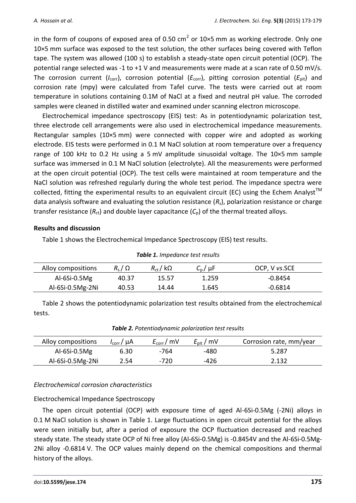in the form of coupons of exposed area of 0.50 cm<sup>2</sup> or 10×5 mm as working electrode. Only one 10×5 mm surface was exposed to the test solution, the other surfaces being covered with Teflon tape. The system was allowed (100 s) to establish a steady-state open circuit potential (OCP). The potential range selected was -1 to +1 V and measurements were made at a scan rate of 0.50 mV/s. The corrosion current ( $I_{\text{corr}}$ ), corrosion potential ( $E_{\text{corr}}$ ), pitting corrosion potential ( $E_{\text{pit}}$ ) and corrosion rate (mpy) were calculated from Tafel curve. The tests were carried out at room temperature in solutions containing 0.1M of NaCl at a fixed and neutral pH value. The corroded samples were cleaned in distilled water and examined under scanning electron microscope.

Electrochemical impedance spectroscopy (EIS) test: As in potentiodynamic polarization test, three electrode cell arrangements were also used in electrochemical impedance measurements. Rectangular samples (10×5 mm) were connected with copper wire and adopted as working electrode. EIS tests were performed in 0.1 M NaCl solution at room temperature over a frequency range of 100 kHz to 0.2 Hz using a 5 mV amplitude sinusoidal voltage. The 10×5 mm sample surface was immersed in 0.1 M NaCl solution (electrolyte). All the measurements were performed at the open circuit potential (OCP). The test cells were maintained at room temperature and the NaCl solution was refreshed regularly during the whole test period. The impedance spectra were collected, fitting the experimental results to an equivalent circuit (EC) using the Echem Analyst<sup>TM</sup> data analysis software and evaluating the solution resistance (*R*s), polarization resistance or charge transfer resistance  $(R_{ct})$  and double layer capacitance  $(C_p)$  of the thermal treated alloys.

## **Results and discussion**

Table 1 shows the Electrochemical Impedance Spectroscopy (EIS) test results.

| <b>TUBIC 1.</b> Impeddice test results |                |                   |                   |               |  |  |
|----------------------------------------|----------------|-------------------|-------------------|---------------|--|--|
| Alloy compositions                     | $R_{s}/\Omega$ | $R_{\rm ct}$ / kQ | $C_{\rm p}/\mu$ F | OCP, V vs.SCE |  |  |
| Al-6Si-0.5 $Mg$                        | 40.37          | 15.57             | 1.259             | $-0.8454$     |  |  |
| Al-6Si-0.5Mg-2Ni                       | 40.53          | 14.44             | 1.645             | $-0.6814$     |  |  |

## *Table 1. Impedance test results*

Table 2 shows the potentiodynamic polarization test results obtained from the electrochemical tests.

| Alloy compositions | $I_{\rm corr}/\mu A$ | $E_{\text{corr}}/$ mV | $E_{\rm pit}$ / mV | Corrosion rate, mm/year |
|--------------------|----------------------|-----------------------|--------------------|-------------------------|
| Al-6Si-0.5 $Mg$    | 6.30                 | -764                  | -480               | 5.287                   |
| $Al-6Si-0.5Mg-2Ni$ | 2.54                 | -720                  | -426               | 2.132                   |

*Table 2. Potentiodynamic polarization test results*

## *Electrochemical corrosion characteristics*

## Electrochemical Impedance Spectroscopy

The open circuit potential (OCP) with exposure time of aged Al-6Si-0.5Mg (-2Ni) alloys in 0.1 M NaCl solution is shown in Table 1. Large fluctuations in open circuit potential for the alloys were seen initially but, after a period of exposure the OCP fluctuation decreased and reached steady state. The steady state OCP of Ni free alloy (Al-6Si-0.5Mg) is -0.8454V and the Al-6Si-0.5Mg-2Ni alloy -0.6814 V. The OCP values mainly depend on the chemical compositions and thermal history of the alloys.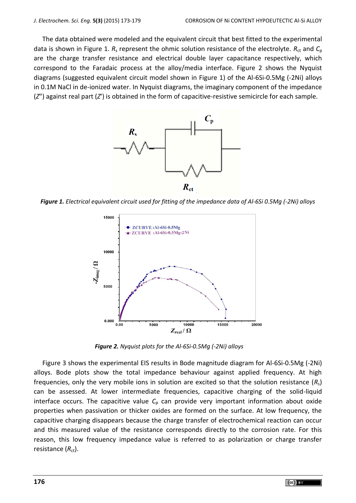The data obtained were modeled and the equivalent circuit that best fitted to the experimental data is shown in Figure 1.  $R_s$  represent the ohmic solution resistance of the electrolyte.  $R_{ct}$  and  $C_p$ are the charge transfer resistance and electrical double layer capacitance respectively, which correspond to the Faradaic process at the alloy/media interface. Figure 2 shows the Nyquist diagrams (suggested equivalent circuit model shown in Figure 1) of the Al-6Si-0.5Mg (-2Ni) alloys in 0.1M NaCl in de-ionized water. In Nyquist diagrams, the imaginary component of the impedance (*Z*") against real part (*Z*') is obtained in the form of capacitive-resistive semicircle for each sample.



*Figure 1. Electrical equivalent circuit used for fitting of the impedance data of Al-6Si 0.5Mg (-2Ni) alloys*



*Figure 2. Nyquist plots for the Al-6Si-0.5Mg (-2Ni) alloys*

Figure 3 shows the experimental EIS results in Bode magnitude diagram for Al-6Si-0.5Mg (-2Ni) alloys. Bode plots show the total impedance behaviour against applied frequency. At high frequencies, only the very mobile ions in solution are excited so that the solution resistance (*R*s) can be assessed. At lower intermediate frequencies, capacitive charging of the solid-liquid interface occurs. The capacitive value  $C_p$  can provide very important information about oxide properties when passivation or thicker oxides are formed on the surface. At low frequency, the capacitive charging disappears because the charge transfer of electrochemical reaction can occur and this measured value of the resistance corresponds directly to the corrosion rate. For this reason, this low frequency impedance value is referred to as polarization or charge transfer resistance ( $R_{\rm ct}$ ).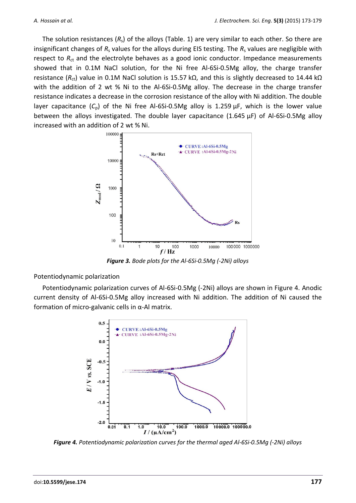The solution resistances (*R*s) of the alloys (Table. 1) are very similar to each other. So there are insignificant changes of  $R_s$  values for the alloys during EIS testing. The  $R_s$  values are negligible with respect to R<sub>ct</sub> and the electrolyte behaves as a good ionic conductor. Impedance measurements showed that in 0.1M NaCl solution, for the Ni free Al-6Si-0.5Mg alloy, the charge transfer resistance (R<sub>ct</sub>) value in 0.1M NaCl solution is 15.57 kΩ, and this is slightly decreased to 14.44 kΩ with the addition of 2 wt % Ni to the Al-6Si-0.5Mg alloy. The decrease in the charge transfer resistance indicates a decrease in the corrosion resistance of the alloy with Ni addition. The double layer capacitance (*C*p) of the Ni free Al-6Si-0.5Mg alloy is 1.259 µF, which is the lower value between the alloys investigated. The double layer capacitance (1.645 µF) of Al-6Si-0.5Mg alloy increased with an addition of 2 wt % Ni.



*Figure 3. Bode plots for the Al-6Si-0.5Mg (-2Ni) alloys*

Potentiodynamic polarization

Potentiodynamic polarization curves of Al-6Si-0.5Mg (-2Ni) alloys are shown in Figure 4. Anodic current density of Al-6Si-0.5Mg alloy increased with Ni addition. The addition of Ni caused the formation of micro-galvanic cells in α-Al matrix.



*Figure 4. Potentiodynamic polarization curves for the thermal aged Al-6Si-0.5Mg (-2Ni) alloys*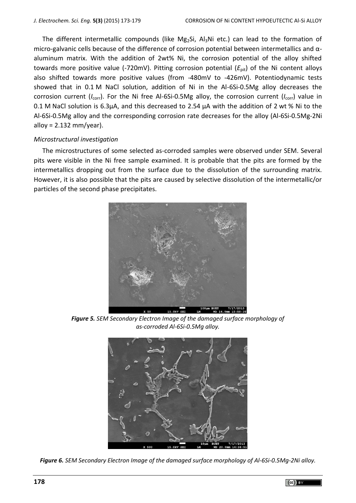The different intermetallic compounds (like Mg<sub>2</sub>Si, Al<sub>3</sub>Ni etc.) can lead to the formation of micro-galvanic cells because of the difference of corrosion potential between intermetallics and αaluminum matrix. With the addition of 2wt% Ni, the corrosion potential of the alloy shifted towards more positive value (-720mV). Pitting corrosion potential ( $E<sub>pit</sub>$ ) of the Ni content alloys also shifted towards more positive values (from -480mV to -426mV). Potentiodynamic tests showed that in 0.1 M NaCl solution, addition of Ni in the Al-6Si-0.5Mg alloy decreases the corrosion current (*I<sub>corr</sub>*). For the Ni free Al-6Si-0.5Mg alloy, the corrosion current (*I<sub>corr</sub>*) value in 0.1 M NaCl solution is 6.3µA, and this decreased to 2.54 µA with the addition of 2 wt % Ni to the Al-6Si-0.5Mg alloy and the corresponding corrosion rate decreases for the alloy (Al-6Si-0.5Mg-2Ni alloy =  $2.132$  mm/year).

## *Microstructural investigation*

The microstructures of some selected as-corroded samples were observed under SEM. Several pits were visible in the Ni free sample examined. It is probable that the pits are formed by the intermetallics dropping out from the surface due to the dissolution of the surrounding matrix. However, it is also possible that the pits are caused by selective dissolution of the intermetallic/or particles of the second phase precipitates.



*Figure 5. SEM Secondary Electron Image of the damaged surface morphology of as-corroded Al-6Si-0.5Mg alloy.*



*Figure 6. SEM Secondary Electron Image of the damaged surface morphology of Al-6Si-0.5Mg-2Ni alloy.*